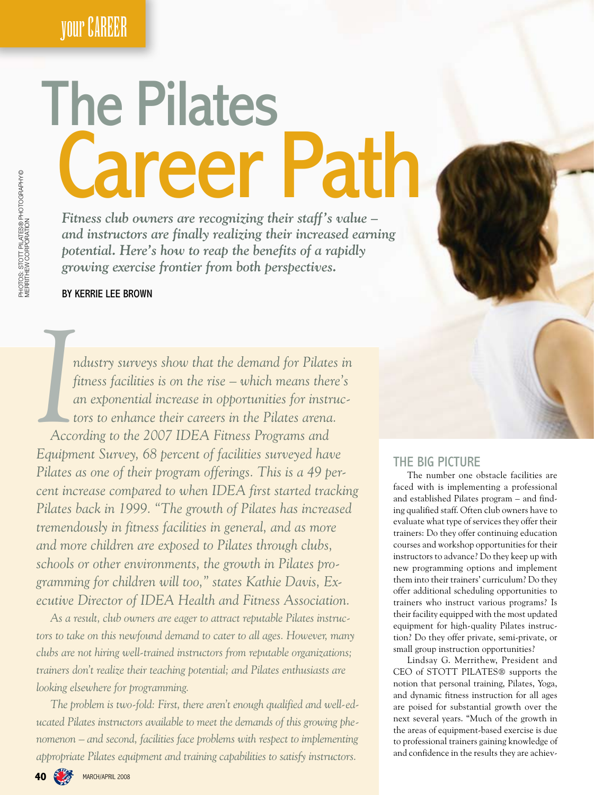**your CAREER** 

# **The Pilates Career Path**

Fitness club owners are recognizing their staff's value and instructors are finally realizing their increased earning potential. Here's how to reap the benefits of a rapidly growing exercise frontier from both perspectives.

### BY KERRIE LEE BROWN

ndustry surveys show that the demand for Pilates in fitness facilities is on the rise – which means there's an exponential increase in opportunities for instructors to enhance their careers in the Pilates arena. According to the 2007 IDEA Fitness Programs and Equipment Survey, 68 percent of facilities surveyed have Pilates as one of their program offerings. This is a 49 percent increase compared to when IDEA first started tracking Pilates back in 1999. "The growth of Pilates has increased tremendously in fitness facilities in general, and as more and more children are exposed to Pilates through clubs, schools or other environments, the growth in Pilates programming for children will too," states Kathie Davis, Executive Director of IDEA Health and Fitness Association.

As a result, club owners are eager to attract reputable Pilates instructors to take on this newfound demand to cater to all ages. However, many clubs are not hiring well-trained instructors from reputable organizations; trainers don't realize their teaching potential; and Pilates enthusiasts are looking elsewhere for programming.

The problem is two-fold: First, there aren't enough qualified and well-educated Pilates instructors available to meet the demands of this growing phenomenon – and second, facilities face problems with respect to implementing appropriate Pilates equipment and training capabilities to satisfy instructors.

### THE BIG PICTURE

The number one obstacle facilities are faced with is implementing a professional and established Pilates program - and finding qualified staff. Often club owners have to evaluate what type of services they offer their trainers: Do they offer continuing education courses and workshop opportunities for their instructors to advance? Do they keep up with new programming options and implement them into their trainers' curriculum? Do they offer additional scheduling opportunities to trainers who instruct various programs? Is their facility equipped with the most updated equipment for high-quality Pilates instruction? Do they offer private, semi-private, or small group instruction opportunities?

Lindsay G. Merrithew, President and CEO of STOTT PILATES® supports the notion that personal training, Pilates, Yoga, and dynamic fitness instruction for all ages are poised for substantial growth over the next several years. "Much of the growth in the areas of equipment-based exercise is due to professional trainers gaining knowledge of and confidence in the results they are achiev-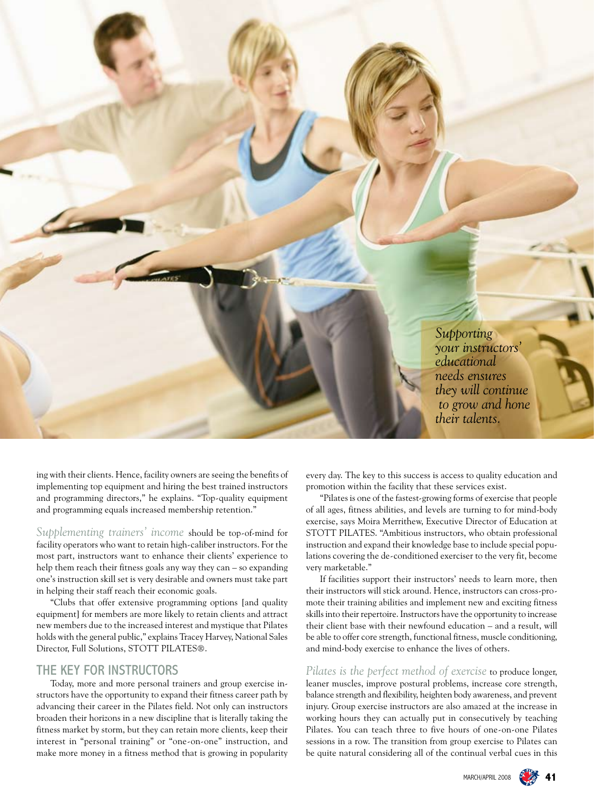*Supporting your instructors' educational needs ensures they will continue to grow and hone their talents.*

ing with their clients. Hence, facility owners are seeing the benefits of implementing top equipment and hiring the best trained instructors and programming directors," he explains. "Top-quality equipment and programming equals increased membership retention."

*Supplementing trainers' income* should be top-of-mind for facility operators who want to retain high-caliber instructors. For the most part, instructors want to enhance their clients' experience to help them reach their fitness goals any way they can – so expanding one's instruction skill set is very desirable and owners must take part in helping their staff reach their economic goals.

"Clubs that offer extensive programming options [and quality equipment] for members are more likely to retain clients and attract new members due to the increased interest and mystique that Pilates holds with the general public," explains Tracey Harvey, National Sales Director, Full Solutions, STOTT PILATES®.

### THE KEY FOR INSTRUCTORS

Today, more and more personal trainers and group exercise instructors have the opportunity to expand their fitness career path by advancing their career in the Pilates field. Not only can instructors broaden their horizons in a new discipline that is literally taking the fitness market by storm, but they can retain more clients, keep their interest in "personal training" or "one-on-one" instruction, and make more money in a fitness method that is growing in popularity every day. The key to this success is access to quality education and promotion within the facility that these services exist.

"Pilates is one of the fastest-growing forms of exercise that people of all ages, fitness abilities, and levels are turning to for mind-body exercise, says Moira Merrithew, Executive Director of Education at STOTT PILATES. "Ambitious instructors, who obtain professional instruction and expand their knowledge base to include special populations covering the de-conditioned exerciser to the very fit, become very marketable."

If facilities support their instructors' needs to learn more, then their instructors will stick around. Hence, instructors can cross-promote their training abilities and implement new and exciting fitness skills into their repertoire. Instructors have the opportunity to increase their client base with their newfound education – and a result, will be able to offer core strength, functional fitness, muscle conditioning, and mind-body exercise to enhance the lives of others.

*Pilates is the perfect method of exercise* to produce longer, leaner muscles, improve postural problems, increase core strength, balance strength and flexibility, heighten body awareness, and prevent injury. Group exercise instructors are also amazed at the increase in working hours they can actually put in consecutively by teaching Pilates. You can teach three to five hours of one-on-one Pilates sessions in a row. The transition from group exercise to Pilates can be quite natural considering all of the continual verbal cues in this